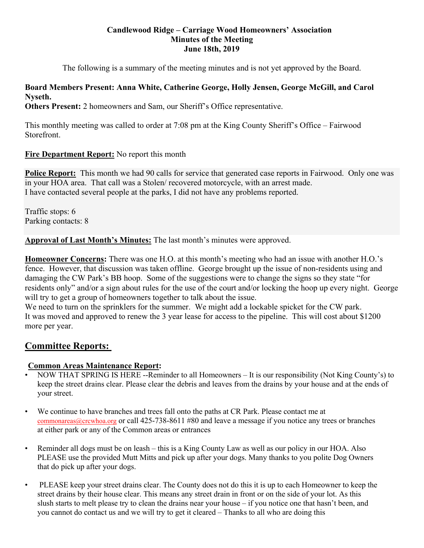#### **Candlewood Ridge – Carriage Wood Homeowners' Association Minutes of the Meeting June 18th, 2019**

The following is a summary of the meeting minutes and is not yet approved by the Board.

### **Board Members Present: Anna White, Catherine George, Holly Jensen, George McGill, and Carol Nyseth.**

**Others Present:** 2 homeowners and Sam, our Sheriff's Office representative.

This monthly meeting was called to order at 7:08 pm at the King County Sheriff's Office – Fairwood Storefront.

#### **Fire Department Report:** No report this month

**Police Report:** This month we had 90 calls for service that generated case reports in Fairwood. Only one was in your HOA area. That call was a Stolen/ recovered motorcycle, with an arrest made. I have contacted several people at the parks, I did not have any problems reported.

Traffic stops: 6 Parking contacts: 8

**Approval of Last Month's Minutes:** The last month's minutes were approved.

**Homeowner Concerns:** There was one H.O. at this month's meeting who had an issue with another H.O.'s fence. However, that discussion was taken offline. George brought up the issue of non-residents using and damaging the CW Park's BB hoop. Some of the suggestions were to change the signs so they state "for residents only" and/or a sign about rules for the use of the court and/or locking the hoop up every night. George will try to get a group of homeowners together to talk about the issue.

We need to turn on the sprinklers for the summer. We might add a lockable spicket for the CW park. It was moved and approved to renew the 3 year lease for access to the pipeline. This will cost about \$1200 more per year.

# **Committee Reports:**

#### **Common Areas Maintenance Report:**

- NOW THAT SPRING IS HERE --Reminder to all Homeowners It is our responsibility (Not King County's) to keep the street drains clear. Please clear the debris and leaves from the drains by your house and at the ends of your street.
- We continue to have branches and trees fall onto the paths at CR Park. Please contact me at commonareas@crcwhoa.org or call 425-738-8611 #80 and leave a message if you notice any trees or branches at either park or any of the Common areas or entrances
- Reminder all dogs must be on leash this is a King County Law as well as our policy in our HOA. Also PLEASE use the provided Mutt Mitts and pick up after your dogs. Many thanks to you polite Dog Owners that do pick up after your dogs.
- PLEASE keep your street drains clear. The County does not do this it is up to each Homeowner to keep the street drains by their house clear. This means any street drain in front or on the side of your lot. As this slush starts to melt please try to clean the drains near your house – if you notice one that hasn't been, and you cannot do contact us and we will try to get it cleared – Thanks to all who are doing this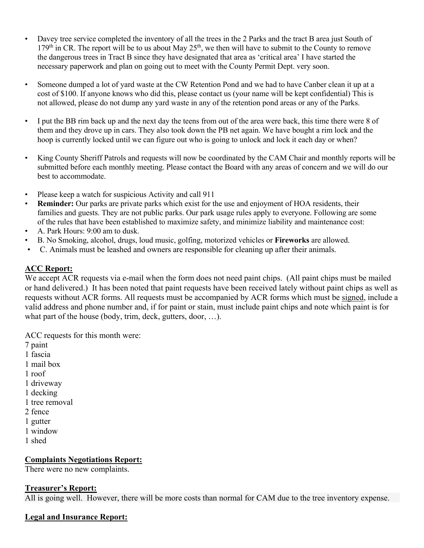- Davey tree service completed the inventory of all the trees in the 2 Parks and the tract B area just South of  $179<sup>th</sup>$  in CR. The report will be to us about May  $25<sup>th</sup>$ , we then will have to submit to the County to remove the dangerous trees in Tract B since they have designated that area as 'critical area' I have started the necessary paperwork and plan on going out to meet with the County Permit Dept. very soon.
- Someone dumped a lot of yard waste at the CW Retention Pond and we had to have Canber clean it up at a cost of \$100. If anyone knows who did this, please contact us (your name will be kept confidential) This is not allowed, please do not dump any yard waste in any of the retention pond areas or any of the Parks.
- I put the BB rim back up and the next day the teens from out of the area were back, this time there were 8 of them and they drove up in cars. They also took down the PB net again. We have bought a rim lock and the hoop is currently locked until we can figure out who is going to unlock and lock it each day or when?
- King County Sheriff Patrols and requests will now be coordinated by the CAM Chair and monthly reports will be submitted before each monthly meeting. Please contact the Board with any areas of concern and we will do our best to accommodate.
- Please keep a watch for suspicious Activity and call 911
- **Reminder:** Our parks are private parks which exist for the use and enjoyment of HOA residents, their families and guests. They are not public parks. Our park usage rules apply to everyone. Following are some of the rules that have been established to maximize safety, and minimize liability and maintenance cost:
- A. Park Hours: 9:00 am to dusk.
- B. No Smoking, alcohol, drugs, loud music, golfing, motorized vehicles or **Fireworks** are allowed.
- C. Animals must be leashed and owners are responsible for cleaning up after their animals.

#### **ACC Report:**

We accept ACR requests via e-mail when the form does not need paint chips. (All paint chips must be mailed or hand delivered.) It has been noted that paint requests have been received lately without paint chips as well as requests without ACR forms. All requests must be accompanied by ACR forms which must be signed, include a valid address and phone number and, if for paint or stain, must include paint chips and note which paint is for what part of the house (body, trim, deck, gutters, door, ...).

ACC requests for this month were:

- 7 paint
- 1 fascia
- 1 mail box
- 1 roof
- 1 driveway
- 1 decking
- 1 tree removal
- 2 fence
- 1 gutter
- 1 window
- 1 shed

#### **Complaints Negotiations Report:**

There were no new complaints.

#### **Treasurer's Report:**

All is going well. However, there will be more costs than normal for CAM due to the tree inventory expense.

#### **Legal and Insurance Report:**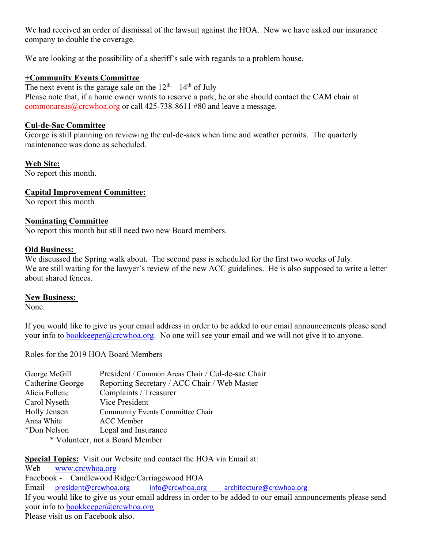We had received an order of dismissal of the lawsuit against the HOA. Now we have asked our insurance company to double the coverage.

We are looking at the possibility of a sheriff's sale with regards to a problem house.

## **+Community Events Committee**

The next event is the garage sale on the  $12<sup>th</sup> - 14<sup>th</sup>$  of July Please note that, if a home owner wants to reserve a park, he or she should contact the CAM chair at commonareas@crcwhoa.org or call 425-738-8611 #80 and leave a message.

### **Cul-de-Sac Committee**

George is still planning on reviewing the cul-de-sacs when time and weather permits. The quarterly maintenance was done as scheduled.

## **Web Site:**

No report this month.

## **Capital Improvement Committee:**

No report this month

#### **Nominating Committee**

No report this month but still need two new Board members.

#### **Old Business:**

We discussed the Spring walk about. The second pass is scheduled for the first two weeks of July. We are still waiting for the lawyer's review of the new ACC guidelines. He is also supposed to write a letter about shared fences.

#### **New Business:**

None.

If you would like to give us your email address in order to be added to our email announcements please send your info to bookkeeper@crcwhoa.org. No one will see your email and we will not give it to anyone.

Roles for the 2019 HOA Board Members

| George McGill                   | President / Common Areas Chair / Cul-de-sac Chair |
|---------------------------------|---------------------------------------------------|
| Catherine George                | Reporting Secretary / ACC Chair / Web Master      |
| Alicia Follette                 | Complaints / Treasurer                            |
| Carol Nyseth                    | Vice President                                    |
| Holly Jensen                    | Community Events Committee Chair                  |
| Anna White                      | <b>ACC</b> Member                                 |
| *Don Nelson                     | Legal and Insurance                               |
| * Volunteer, not a Board Member |                                                   |

**Special Topics:** Visit our Website and contact the HOA via Email at:

Web – www.crcwhoa.org Facebook - Candlewood Ridge/Carriagewood HOA Email – president@crcwhoa.org info@crcwhoa.org architecture@crcwhoa.org If you would like to give us your email address in order to be added to our email announcements please send your info to bookkeeper@crcwhoa.org. Please visit us on Facebook also.